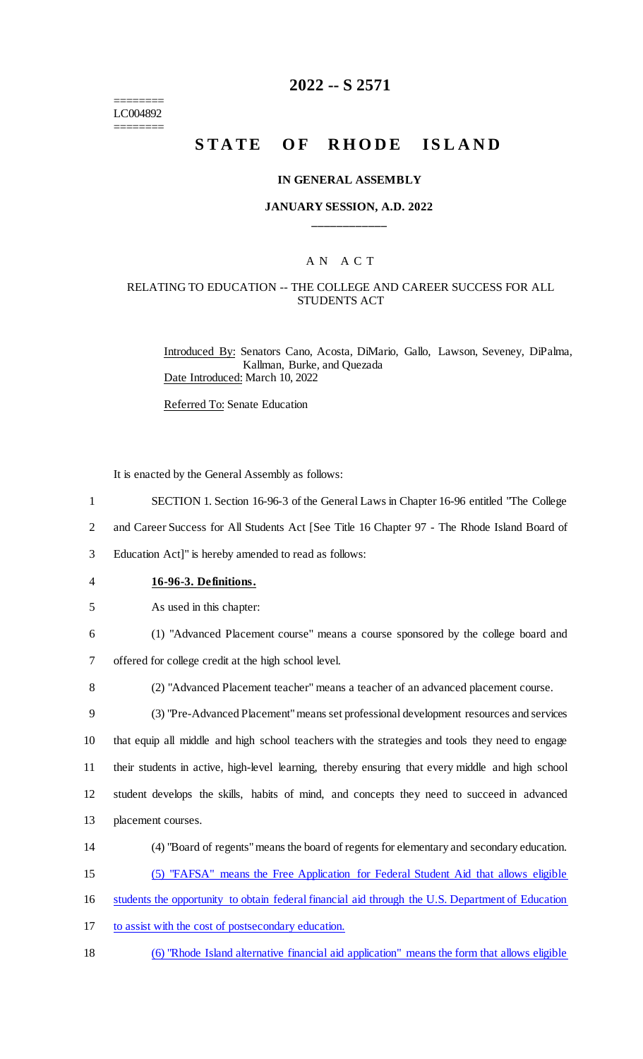======== LC004892 ========

## **2022 -- S 2571**

# **STATE OF RHODE ISLAND**

#### **IN GENERAL ASSEMBLY**

#### **JANUARY SESSION, A.D. 2022 \_\_\_\_\_\_\_\_\_\_\_\_**

## A N A C T

#### RELATING TO EDUCATION -- THE COLLEGE AND CAREER SUCCESS FOR ALL STUDENTS ACT

Introduced By: Senators Cano, Acosta, DiMario, Gallo, Lawson, Seveney, DiPalma, Kallman, Burke, and Quezada Date Introduced: March 10, 2022

Referred To: Senate Education

It is enacted by the General Assembly as follows:

- 1 SECTION 1. Section 16-96-3 of the General Laws in Chapter 16-96 entitled "The College
- 2 and Career Success for All Students Act [See Title 16 Chapter 97 The Rhode Island Board of

3 Education Act]" is hereby amended to read as follows:

- 4 **16-96-3. Definitions.**
- 5 As used in this chapter:
- 6 (1) "Advanced Placement course" means a course sponsored by the college board and

7 offered for college credit at the high school level.

8 (2) "Advanced Placement teacher" means a teacher of an advanced placement course.

 (3) "Pre-Advanced Placement" means set professional development resources and services that equip all middle and high school teachers with the strategies and tools they need to engage their students in active, high-level learning, thereby ensuring that every middle and high school student develops the skills, habits of mind, and concepts they need to succeed in advanced placement courses.

- 14 (4) "Board of regents" means the board of regents for elementary and secondary education.
- 15 (5) "FAFSA" means the Free Application for Federal Student Aid that allows eligible

16 students the opportunity to obtain federal financial aid through the U.S. Department of Education

- 17 to assist with the cost of postsecondary education.
- 18 (6) "Rhode Island alternative financial aid application" means the form that allows eligible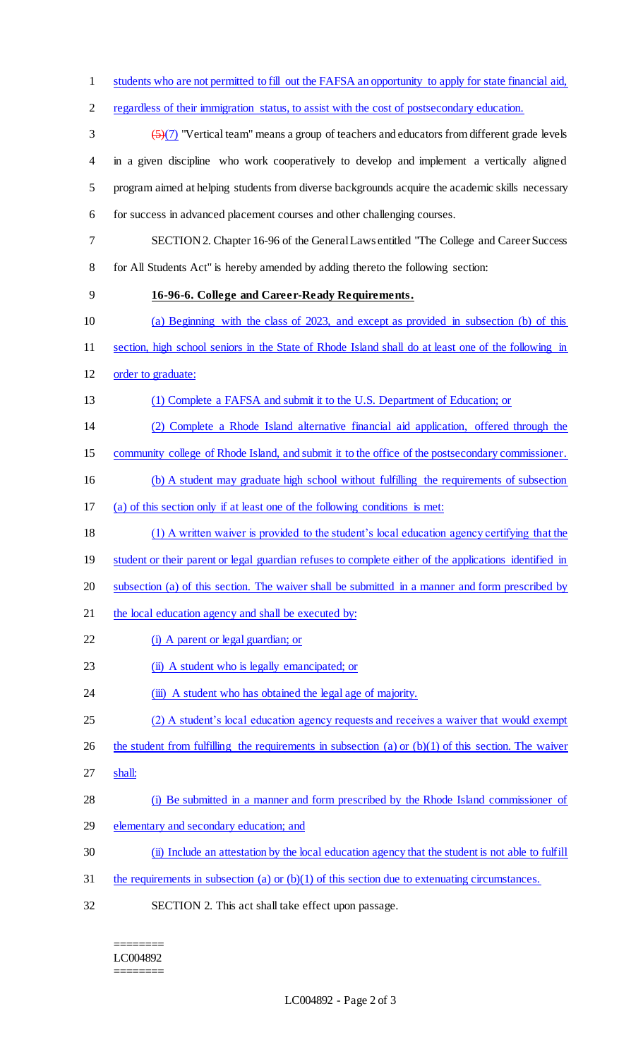students who are not permitted to fill out the FAFSA an opportunity to apply for state financial aid, regardless of their immigration status, to assist with the cost of postsecondary education.  $\left(\frac{5}{7}\right)$  "Vertical team" means a group of teachers and educators from different grade levels in a given discipline who work cooperatively to develop and implement a vertically aligned program aimed at helping students from diverse backgrounds acquire the academic skills necessary for success in advanced placement courses and other challenging courses. SECTION 2. Chapter 16-96 of the General Laws entitled "The College and Career Success for All Students Act" is hereby amended by adding thereto the following section: **16-96-6. College and Career-Ready Requirements.** (a) Beginning with the class of 2023, and except as provided in subsection (b) of this section, high school seniors in the State of Rhode Island shall do at least one of the following in order to graduate: (1) Complete a FAFSA and submit it to the U.S. Department of Education; or (2) Complete a Rhode Island alternative financial aid application, offered through the community college of Rhode Island, and submit it to the office of the postsecondary commissioner. (b) A student may graduate high school without fulfilling the requirements of subsection (a) of this section only if at least one of the following conditions is met: (1) A written waiver is provided to the student's local education agency certifying that the 19 student or their parent or legal guardian refuses to complete either of the applications identified in subsection (a) of this section. The waiver shall be submitted in a manner and form prescribed by 21 the local education agency and shall be executed by: 22 (i) A parent or legal guardian; or 23 (ii) A student who is legally emancipated; or 24 (iii) A student who has obtained the legal age of majority. 25 (2) A student's local education agency requests and receives a waiver that would exempt 26 the student from fulfilling the requirements in subsection (a) or  $(b)(1)$  of this section. The waiver shall: (i) Be submitted in a manner and form prescribed by the Rhode Island commissioner of elementary and secondary education; and (ii) Include an attestation by the local education agency that the student is not able to fulfill the requirements in subsection (a) or (b)(1) of this section due to extenuating circumstances. SECTION 2. This act shall take effect upon passage.

======== LC004892 ========